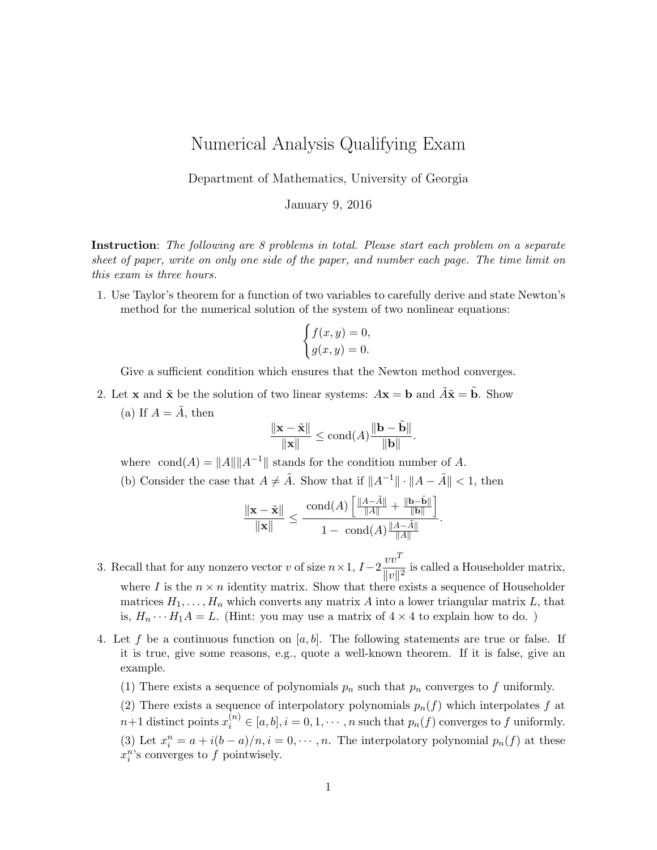## Numerical Analysis Qualifying Exam

Department of Mathematics, University of Georgia

January 9, 2016

Instruction: The following are 8 problems in total. Please start each problem on a separate sheet of paper, write on only one side of the paper, and number each page. The time limit on this exam is three hours.

1. Use Taylor's theorem for a function of two variables to carefully derive and state Newton's method for the numerical solution of the system of two nonlinear equations:

$$
\begin{cases} f(x,y) = 0, \\ g(x,y) = 0. \end{cases}
$$

Give a sufficient condition which ensures that the Newton method converges.

2. Let **x** and  $\tilde{\mathbf{x}}$  be the solution of two linear systems:  $A\mathbf{x} = \mathbf{b}$  and  $\tilde{A}\tilde{\mathbf{x}} = \tilde{\mathbf{b}}$ . Show (a) If  $A = \tilde{A}$ , then

$$
\frac{\|\mathbf{x} - \tilde{\mathbf{x}}\|}{\|\mathbf{x}\|} \le \text{cond}(A) \frac{\|\mathbf{b} - \tilde{\mathbf{b}}\|}{\|\mathbf{b}\|}.
$$

where cond(A) =  $||A|| ||A^{-1}||$  stands for the condition number of A.

(b) Consider the case that  $A \neq \tilde{A}$ . Show that if  $||A^{-1}|| \cdot ||A - \tilde{A}|| < 1$ , then

$$
\frac{\|\mathbf{x}-\tilde{\mathbf{x}}\|}{\|\mathbf{x}\|}\leq \frac{\text{cond}(A)\left[\frac{\|A-\tilde{A}\|}{\|A\|}+\frac{\|\mathbf{b}-\tilde{\mathbf{b}}\|}{\|\mathbf{b}\|}\right]}{1-\text{ cond}(A)\frac{\|A-\tilde{A}\|}{\|A\|}}.
$$

- 3. Recall that for any nonzero vector v of size  $n \times 1$ ,  $I-2\frac{vv^T}{v^T}$  $\frac{c}{\|v\|^2}$  is called a Householder matrix, where I is the  $n \times n$  identity matrix. Show that there exists a sequence of Householder matrices  $H_1, \ldots, H_n$  which converts any matrix A into a lower triangular matrix L, that is,  $H_n \cdots H_1 A = L$ . (Hint: you may use a matrix of  $4 \times 4$  to explain how to do.)
- 4. Let f be a continuous function on [a, b]. The following statements are true or false. If it is true, give some reasons, e.g., quote a well-known theorem. If it is false, give an example.
	- (1) There exists a sequence of polynomials  $p_n$  such that  $p_n$  converges to f uniformly.
	- (2) There exists a sequence of interpolatory polynomials  $p_n(f)$  which interpolates f at  $n+1$  distinct points  $x_i^{(n)} \in [a, b], i = 0, 1, \cdots, n$  such that  $p_n(f)$  converges to f uniformly. (3) Let  $x_i^n = a + i(b - a)/n, i = 0, \dots, n$ . The interpolatory polynomial  $p_n(f)$  at these  $x_i^n$ 's converges to f pointwisely.